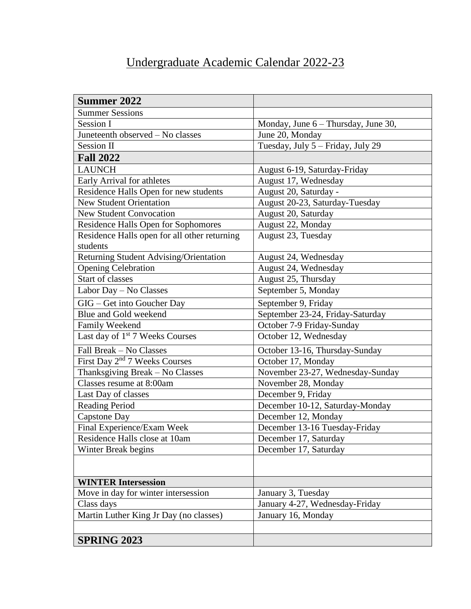## Undergraduate Academic Calendar 2022-23

| <b>Summer 2022</b>                           |                                       |
|----------------------------------------------|---------------------------------------|
| <b>Summer Sessions</b>                       |                                       |
| <b>Session I</b>                             | Monday, June $6$ – Thursday, June 30, |
| Juneteenth observed – No classes             | June 20, Monday                       |
| <b>Session II</b>                            | Tuesday, July 5 - Friday, July 29     |
| <b>Fall 2022</b>                             |                                       |
| <b>LAUNCH</b>                                | August 6-19, Saturday-Friday          |
| Early Arrival for athletes                   | August 17, Wednesday                  |
| Residence Halls Open for new students        | August 20, Saturday -                 |
| <b>New Student Orientation</b>               | August 20-23, Saturday-Tuesday        |
| <b>New Student Convocation</b>               | August 20, Saturday                   |
| Residence Halls Open for Sophomores          | August 22, Monday                     |
| Residence Halls open for all other returning | August 23, Tuesday                    |
| students                                     |                                       |
| Returning Student Advising/Orientation       | August 24, Wednesday                  |
| <b>Opening Celebration</b>                   | August 24, Wednesday                  |
| Start of classes                             | August 25, Thursday                   |
| Labor Day - No Classes                       | September 5, Monday                   |
| GIG – Get into Goucher Day                   | September 9, Friday                   |
| Blue and Gold weekend                        | September 23-24, Friday-Saturday      |
| Family Weekend                               | October 7-9 Friday-Sunday             |
| Last day of 1 <sup>st</sup> 7 Weeks Courses  | October 12, Wednesday                 |
| Fall Break - No Classes                      | October 13-16, Thursday-Sunday        |
| First Day 2 <sup>nd</sup> 7 Weeks Courses    | October 17, Monday                    |
| Thanksgiving Break - No Classes              | November 23-27, Wednesday-Sunday      |
| Classes resume at 8:00am                     | November 28, Monday                   |
| Last Day of classes                          | December 9, Friday                    |
| <b>Reading Period</b>                        | December 10-12, Saturday-Monday       |
| <b>Capstone Day</b>                          | December 12, Monday                   |
| Final Experience/Exam Week                   | December 13-16 Tuesday-Friday         |
| Residence Halls close at 10am                | December 17, Saturday                 |
| Winter Break begins                          | December 17, Saturday                 |
|                                              |                                       |
| <b>WINTER Intersession</b>                   |                                       |
| Move in day for winter intersession          | January 3, Tuesday                    |
| Class days                                   | January 4-27, Wednesday-Friday        |
| Martin Luther King Jr Day (no classes)       | January 16, Monday                    |
|                                              |                                       |
| <b>SPRING 2023</b>                           |                                       |